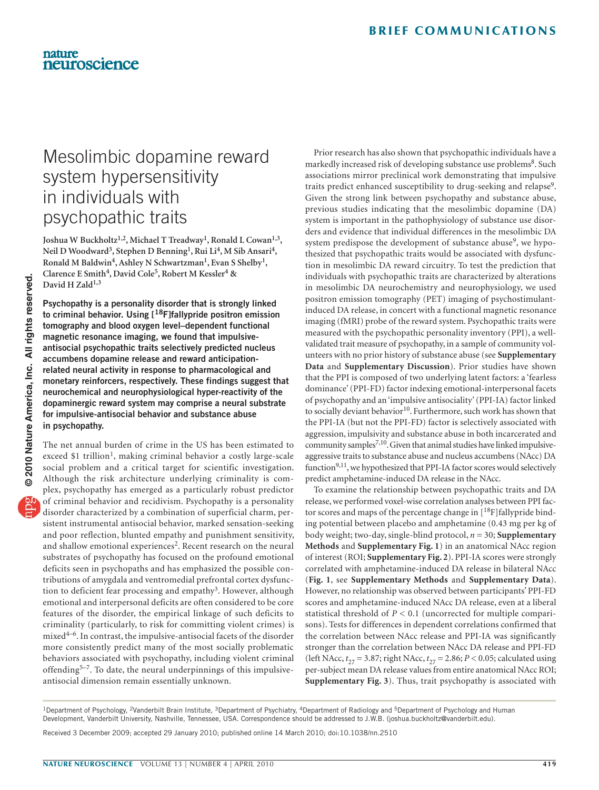# Mesolimbic dopamine reward system hypersensitivity in individuals with psychopathic traits

**Joshua W Buckholtz1,2, Michael T Treadway1, Ronald L Cowan1,3, Neil D Woodward3, Stephen D Benning1, Rui Li4, M Sib Ansari4, Ronald M Baldwin4, Ashley N Schwartzman1, Evan S Shelby1, Clarence E Smith4, David Cole5, Robert M Kessler4 &**  David H Zald<sup>1,3</sup>

**Psychopathy is a personality disorder that is strongly linked to criminal behavior. Using [18F]fallypride positron emission tomography and blood oxygen level–dependent functional magnetic resonance imaging, we found that impulsiveantisocial psychopathic traits selectively predicted nucleus accumbens dopamine release and reward anticipationrelated neural activity in response to pharmacological and monetary reinforcers, respectively. These findings suggest that neurochemical and neurophysiological hyper-reactivity of the dopaminergic reward system may comprise a neural substrate for impulsive-antisocial behavior and substance abuse in psychopathy.**

The net annual burden of crime in the US has been estimated to exceed \$1 trillion<sup>1</sup>, making criminal behavior a costly large-scale social problem and a critical target for scientific investigation. Although the risk architecture underlying criminality is complex, psychopathy has emerged as a particularly robust predictor of criminal behavior and recidivism. Psychopathy is a personality disorder characterized by a combination of superficial charm, persistent instrumental antisocial behavior, marked sensation-seeking and poor reflection, blunted empathy and punishment sensitivity, and shallow emotional experiences<sup>[2](#page-2-1)</sup>. Recent research on the neural substrates of psychopathy has focused on the profound emotional deficits seen in psychopaths and has emphasized the possible contributions of amygdala and ventromedial prefrontal cortex dysfunc-tion to deficient fear processing and empathy<sup>[3](#page-2-2)</sup>. However, although emotional and interpersonal deficits are often considered to be core features of the disorder, the empirical linkage of such deficits to criminality (particularly, to risk for committing violent crimes) is mixed4–6. In contrast, the impulsive-antisocial facets of the disorder more consistently predict many of the most socially problematic behaviors associated with psychopathy, including violent criminal offending<sup>5-7</sup>. To date, the neural underpinnings of this impulsiveantisocial dimension remain essentially unknown.

Prior research has also shown that psychopathic individuals have a markedly increased risk of developing substance use problems<sup>[8](#page-2-3)</sup>. Such associations mirror preclinical work demonstrating that impulsive traits predict enhanced susceptibility to drug-seeking and relapse<sup>9</sup>. Given the strong link between psychopathy and substance abuse, previous studies indicating that the mesolimbic dopamine (DA) system is important in the pathophysiology of substance use disorders and evidence that individual differences in the mesolimbic DA system predispose the development of substance abuse<sup>9</sup>, we hypothesized that psychopathic traits would be associated with dysfunction in mesolimbic DA reward circuitry. To test the prediction that individuals with psychopathic traits are characterized by alterations in mesolimbic DA neurochemistry and neurophysiology, we used positron emission tomography (PET) imaging of psychostimulantinduced DA release, in concert with a functional magnetic resonance imaging (fMRI) probe of the reward system. Psychopathic traits were measured with the psychopathic personality inventory (PPI), a wellvalidated trait measure of psychopathy, in a sample of community volunteers with no prior history of substance abuse (see **Supplementary Data** and **Supplementary Discussion**). Prior studies have shown that the PPI is composed of two underlying latent factors: a 'fearless dominance' (PPI-FD) factor indexing emotional-interpersonal facets of psychopathy and an 'impulsive antisociality' (PPI-IA) factor linked to socially deviant behavior<sup>[10](#page-2-5)</sup>. Furthermore, such work has shown that the PPI-IA (but not the PPI-FD) factor is selectively associated with aggression, impulsivity and substance abuse in both incarcerated and community samples<sup>7,10</sup>. Given that animal studies have linked impulsiveaggressive traits to substance abuse and nucleus accumbens (NAcc) DA function<sup>9,11</sup>, we hypothesized that PPI-IA factor scores would selectively predict amphetamine-induced DA release in the NAcc.

To examine the relationship between psychopathic traits and DA release, we performed voxel-wise correlation analyses between PPI factor scores and maps of the percentage change in  $[18F]$ fallypride binding potential between placebo and amphetamine (0.43 mg per kg of body weight; two-day, single-blind protocol, *n* = 30; **Supplementary Methods** and **Supplementary Fig. 1**) in an anatomical NAcc region of interest (ROI; **Supplementary Fig. 2**). PPI-IA scores were strongly correlated with amphetamine-induced DA release in bilateral NAcc (**[Fig. 1](#page-1-0)**, see **Supplementary Methods** and **Supplementary Data**). However, no relationship was observed between participants' PPI-FD scores and amphetamine-induced NAcc DA release, even at a liberal statistical threshold of *P* < 0.1 (uncorrected for multiple comparisons). Tests for differences in dependent correlations confirmed that the correlation between NAcc release and PPI-IA was significantly stronger than the correlation between NAcc DA release and PPI-FD (left NAcc,  $t_{27} = 3.87$ ; right NAcc,  $t_{27} = 2.86$ ;  $P < 0.05$ ; calculated using per-subject mean DA release values from entire anatomical NAcc ROI; **Supplementary Fig. 3**). Thus, trait psychopathy is associated with

<sup>&</sup>lt;sup>1</sup>Department of Psychology, <sup>2</sup>Vanderbilt Brain Institute, <sup>3</sup>Department of Psychiatry, <sup>4</sup>Department of Radiology and <sup>5</sup>Department of Psychology and Human Development, Vanderbilt University, Nashville, Tennessee, USA. Correspondence should be addressed to J.W.B. (joshua.buckholtz@vanderbilt.edu).

Received 3 December 2009; accepted 29 January 2010; published online 14 March 2010; [doi:10.1038/nn.2510](http://www.nature.com/doifinder/10.1038/nn.2510)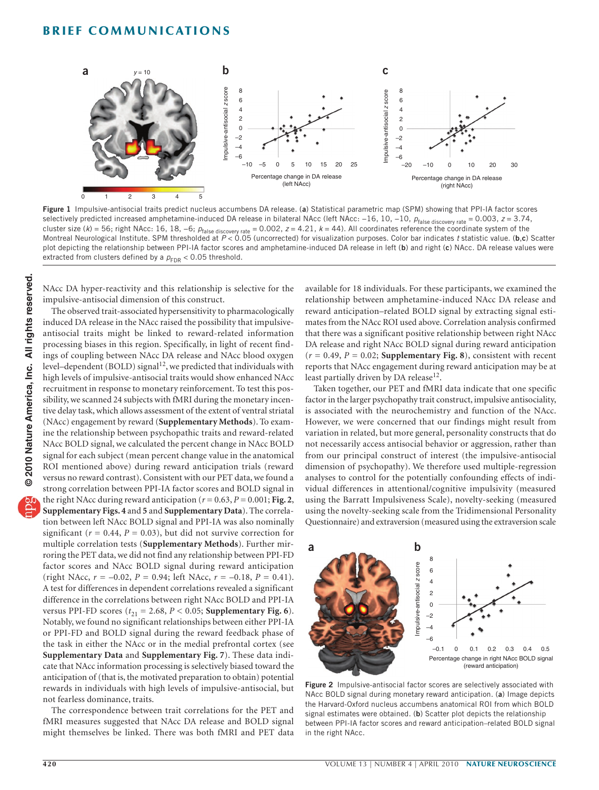

<span id="page-1-0"></span>**Figure 1** Impulsive-antisocial traits predict nucleus accumbens DA release. (**a**) Statistical parametric map (SPM) showing that PPI-IA factor scores selectively predicted increased amphetamine-induced DA release in bilateral NAcc (left NAcc: -16, 10, -10, *p*<sub>false discovery rate</sub> = 0.003, *z* = 3.74, cluster size (k) = 56; right NAcc: 16, 18, –6;  $\rho_{\rm false}$  discovery rate = 0.002, z = 4.21, k = 44). All coordinates reference the coordinate system of the<br>Montreal Neurological Institute. SPM thresholded at P < 0.05 (uncor plot depicting the relationship between PPI-IA factor scores and amphetamine-induced DA release in left (**b**) and right (**c**) NAcc. DA release values were extracted from clusters defined by a  $p_{FDR}$  < 0.05 threshold.

NAcc DA hyper-reactivity and this relationship is selective for the impulsive-antisocial dimension of this construct.

The observed trait-associated hypersensitivity to pharmacologically induced DA release in the NAcc raised the possibility that impulsiveantisocial traits might be linked to reward-related information processing biases in this region. Specifically, in light of recent findings of coupling between NAcc DA release and NAcc blood oxygen level-dependent (BOLD) signal<sup>[12](#page-2-6)</sup>, we predicted that individuals with high levels of impulsive-antisocial traits would show enhanced NAcc recruitment in response to monetary reinforcement. To test this possibility, we scanned 24 subjects with fMRI during the monetary incentive delay task, which allows assessment of the extent of ventral striatal (NAcc) engagement by reward (**Supplementary Methods**). To examine the relationship between psychopathic traits and reward-related NAcc BOLD signal, we calculated the percent change in NAcc BOLD signal for each subject (mean percent change value in the anatomical ROI mentioned above) during reward anticipation trials (reward versus no reward contrast). Consistent with our PET data, we found a strong correlation between PPI-IA factor scores and BOLD signal in the right NAcc during reward anticipation ( $r = 0.63$ ,  $P = 0.001$ ; [Fig. 2](#page-1-1), **Supplementary Figs. 4** and **5** and **Supplementary Data**). The correlation between left NAcc BOLD signal and PPI-IA was also nominally significant ( $r = 0.44$ ,  $P = 0.03$ ), but did not survive correction for multiple correlation tests (**Supplementary Methods**). Further mirroring the PET data, we did not find any relationship between PPI-FD factor scores and NAcc BOLD signal during reward anticipation (right NAcc,  $r = -0.02$ ,  $P = 0.94$ ; left NAcc,  $r = -0.18$ ,  $P = 0.41$ ). A test for differences in dependent correlations revealed a significant difference in the correlations between right NAcc BOLD and PPI-IA versus PPI-FD scores  $(t_{21} = 2.68, P < 0.05;$  **Supplementary Fig. 6**). Notably, we found no significant relationships between either PPI-IA or PPI-FD and BOLD signal during the reward feedback phase of the task in either the NAcc or in the medial prefrontal cortex (see **Supplementary Data** and **Supplementary Fig. 7**). These data indicate that NAcc information processing is selectively biased toward the anticipation of (that is, the motivated preparation to obtain) potential rewards in individuals with high levels of impulsive-antisocial, but not fearless dominance, traits.

The correspondence between trait correlations for the PET and fMRI measures suggested that NAcc DA release and BOLD signal might themselves be linked. There was both fMRI and PET data

available for 18 individuals. For these participants, we examined the relationship between amphetamine-induced NAcc DA release and reward anticipation–related BOLD signal by extracting signal estimates from the NAcc ROI used above. Correlation analysis confirmed that there was a significant positive relationship between right NAcc DA release and right NAcc BOLD signal during reward anticipation  $(r = 0.49, P = 0.02;$  **Supplementary Fig. 8**), consistent with recent reports that NAcc engagement during reward anticipation may be at least partially driven by DA release<sup>12</sup>.

Taken together, our PET and fMRI data indicate that one specific factor in the larger psychopathy trait construct, impulsive antisociality, is associated with the neurochemistry and function of the NAcc. However, we were concerned that our findings might result from variation in related, but more general, personality constructs that do not necessarily access antisocial behavior or aggression, rather than from our principal construct of interest (the impulsive-antisocial dimension of psychopathy). We therefore used multiple-regression analyses to control for the potentially confounding effects of individual differences in attentional/cognitive impulsivity (measured using the Barratt Impulsiveness Scale), novelty-seeking (measured using the novelty-seeking scale from the Tridimensional Personality Questionnaire) and extraversion (measured using the extraversion scale



<span id="page-1-1"></span>**Figure 2** Impulsive-antisocial factor scores are selectively associated with NAcc BOLD signal during monetary reward anticipation. (**a**) Image depicts the Harvard-Oxford nucleus accumbens anatomical ROI from which BOLD signal estimates were obtained. (**b**) Scatter plot depicts the relationship between PPI-IA factor scores and reward anticipation–related BOLD signal in the right NAcc.